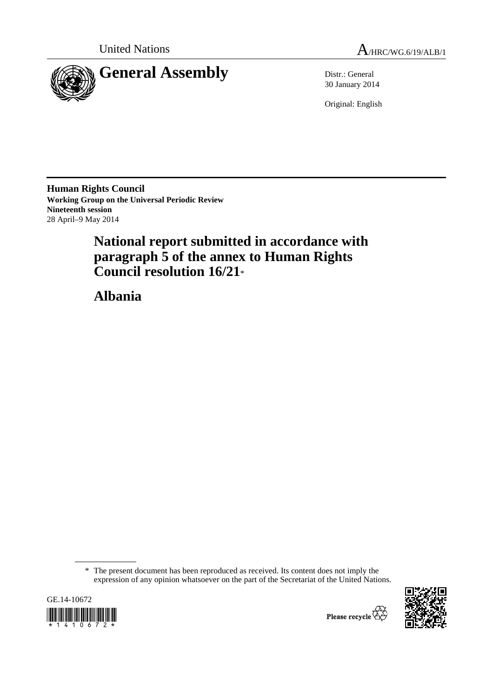



30 January 2014

Original: English

**Human Rights Council Working Group on the Universal Periodic Review Nineteenth session**  28 April–9 May 2014

# **National report submitted in accordance with paragraph 5 of the annex to Human Rights Council resolution 16/21**\*

 **Albania** 

 <sup>\*</sup> The present document has been reproduced as received. Its content does not imply the expression of any opinion whatsoever on the part of the Secretariat of the United Nations.



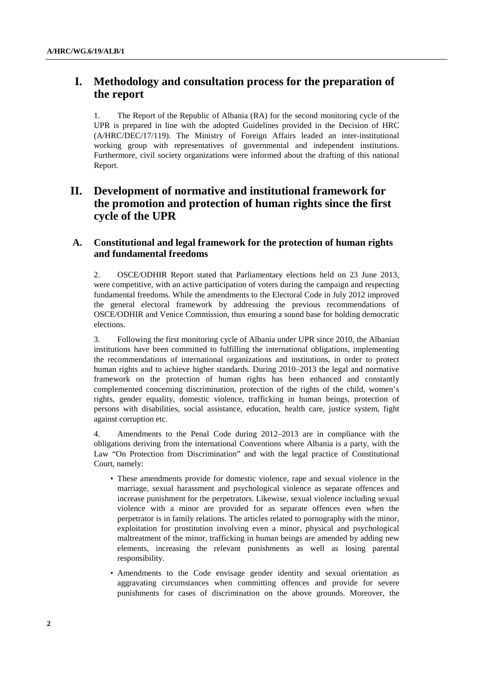## **I. Methodology and consultation process for the preparation of the report**

1. The Report of the Republic of Albania (RA) for the second monitoring cycle of the UPR is prepared in line with the adopted Guidelines provided in the Decision of HRC (A/HRC/DEC/17/119). The Ministry of Foreign Affairs leaded an inter-institutional working group with representatives of governmental and independent institutions. Furthermore, civil society organizations were informed about the drafting of this national Report.

## **II. Development of normative and institutional framework for the promotion and protection of human rights since the first cycle of the UPR**

## **A. Constitutional and legal framework for the protection of human rights and fundamental freedoms**

2. OSCE/ODHIR Report stated that Parliamentary elections held on 23 June 2013, were competitive, with an active participation of voters during the campaign and respecting fundamental freedoms. While the amendments to the Electoral Code in July 2012 improved the general electoral framework by addressing the previous recommendations of OSCE/ODHIR and Venice Commission, thus ensuring a sound base for holding democratic elections.

3. Following the first monitoring cycle of Albania under UPR since 2010, the Albanian institutions have been committed to fulfilling the international obligations, implementing the recommendations of international organizations and institutions, in order to protect human rights and to achieve higher standards. During 2010–2013 the legal and normative framework on the protection of human rights has been enhanced and constantly complemented concerning discrimination, protection of the rights of the child, women's rights, gender equality, domestic violence, trafficking in human beings, protection of persons with disabilities, social assistance, education, health care, justice system, fight against corruption etc.

4. Amendments to the Penal Code during 2012–2013 are in compliance with the obligations deriving from the international Conventions where Albania is a party, with the Law "On Protection from Discrimination" and with the legal practice of Constitutional Court, namely:

- These amendments provide for domestic violence, rape and sexual violence in the marriage, sexual harassment and psychological violence as separate offences and increase punishment for the perpetrators. Likewise, sexual violence including sexual violence with a minor are provided for as separate offences even when the perpetrator is in family relations. The articles related to pornography with the minor, exploitation for prostitution involving even a minor, physical and psychological maltreatment of the minor, trafficking in human beings are amended by adding new elements, increasing the relevant punishments as well as losing parental responsibility.
- Amendments to the Code envisage gender identity and sexual orientation as aggravating circumstances when committing offences and provide for severe punishments for cases of discrimination on the above grounds. Moreover, the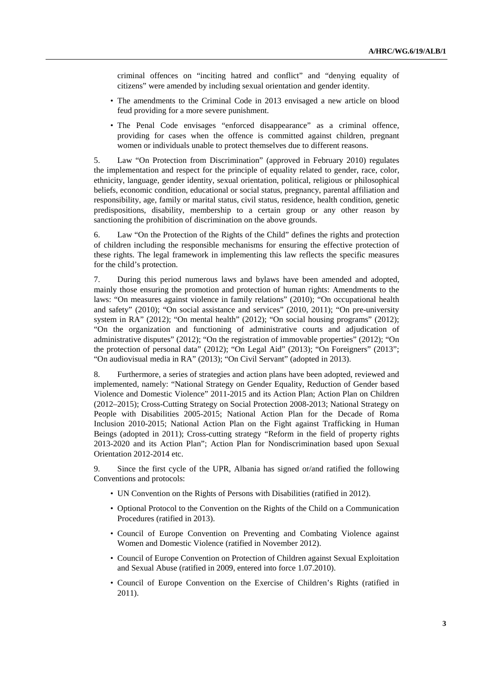criminal offences on "inciting hatred and conflict" and "denying equality of citizens" were amended by including sexual orientation and gender identity.

- The amendments to the Criminal Code in 2013 envisaged a new article on blood feud providing for a more severe punishment.
- The Penal Code envisages "enforced disappearance" as a criminal offence, providing for cases when the offence is committed against children, pregnant women or individuals unable to protect themselves due to different reasons.

5. Law "On Protection from Discrimination" (approved in February 2010) regulates the implementation and respect for the principle of equality related to gender, race, color, ethnicity, language, gender identity, sexual orientation, political, religious or philosophical beliefs, economic condition, educational or social status, pregnancy, parental affiliation and responsibility, age, family or marital status, civil status, residence, health condition, genetic predispositions, disability, membership to a certain group or any other reason by sanctioning the prohibition of discrimination on the above grounds.

6. Law "On the Protection of the Rights of the Child" defines the rights and protection of children including the responsible mechanisms for ensuring the effective protection of these rights. The legal framework in implementing this law reflects the specific measures for the child's protection.

7. During this period numerous laws and bylaws have been amended and adopted, mainly those ensuring the promotion and protection of human rights: Amendments to the laws: "On measures against violence in family relations" (2010); "On occupational health and safety" (2010); "On social assistance and services" (2010, 2011); "On pre-university system in RA" (2012); "On mental health" (2012); "On social housing programs" (2012); "On the organization and functioning of administrative courts and adjudication of administrative disputes" (2012); "On the registration of immovable properties" (2012); "On the protection of personal data" (2012); "On Legal Aid" (2013); "On Foreigners" (2013"; "On audiovisual media in RA" (2013); "On Civil Servant" (adopted in 2013).

8. Furthermore, a series of strategies and action plans have been adopted, reviewed and implemented, namely: "National Strategy on Gender Equality, Reduction of Gender based Violence and Domestic Violence" 2011-2015 and its Action Plan; Action Plan on Children (2012–2015); Cross-Cutting Strategy on Social Protection 2008-2013; National Strategy on People with Disabilities 2005-2015; National Action Plan for the Decade of Roma Inclusion 2010-2015; National Action Plan on the Fight against Trafficking in Human Beings (adopted in 2011); Cross-cutting strategy "Reform in the field of property rights 2013-2020 and its Action Plan"; Action Plan for Nondiscrimination based upon Sexual Orientation 2012-2014 etc.

9. Since the first cycle of the UPR, Albania has signed or/and ratified the following Conventions and protocols:

- UN Convention on the Rights of Persons with Disabilities (ratified in 2012).
- Optional Protocol to the Convention on the Rights of the Child on a Communication Procedures (ratified in 2013).
- Council of Europe Convention on Preventing and Combating Violence against Women and Domestic Violence (ratified in November 2012).
- Council of Europe Convention on Protection of Children against Sexual Exploitation and Sexual Abuse (ratified in 2009, entered into force 1.07.2010).
- Council of Europe Convention on the Exercise of Children's Rights (ratified in 2011).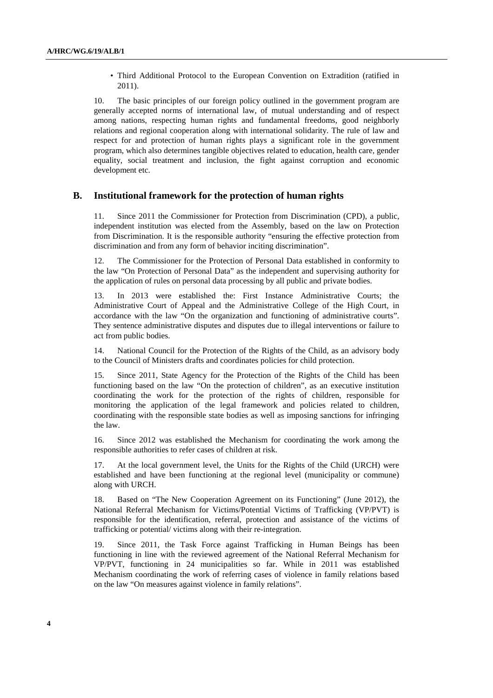• Third Additional Protocol to the European Convention on Extradition (ratified in 2011).

10. The basic principles of our foreign policy outlined in the government program are generally accepted norms of international law, of mutual understanding and of respect among nations, respecting human rights and fundamental freedoms, good neighborly relations and regional cooperation along with international solidarity. The rule of law and respect for and protection of human rights plays a significant role in the government program, which also determines tangible objectives related to education, health care, gender equality, social treatment and inclusion, the fight against corruption and economic development etc.

### **B. Institutional framework for the protection of human rights**

11. Since 2011 the Commissioner for Protection from Discrimination (CPD), a public, independent institution was elected from the Assembly, based on the law on Protection from Discrimination. It is the responsible authority "ensuring the effective protection from discrimination and from any form of behavior inciting discrimination".

12. The Commissioner for the Protection of Personal Data established in conformity to the law "On Protection of Personal Data" as the independent and supervising authority for the application of rules on personal data processing by all public and private bodies.

13. In 2013 were established the: First Instance Administrative Courts; the Administrative Court of Appeal and the Administrative College of the High Court, in accordance with the law "On the organization and functioning of administrative courts". They sentence administrative disputes and disputes due to illegal interventions or failure to act from public bodies.

14. National Council for the Protection of the Rights of the Child, as an advisory body to the Council of Ministers drafts and coordinates policies for child protection.

15. Since 2011, State Agency for the Protection of the Rights of the Child has been functioning based on the law "On the protection of children", as an executive institution coordinating the work for the protection of the rights of children, responsible for monitoring the application of the legal framework and policies related to children, coordinating with the responsible state bodies as well as imposing sanctions for infringing the law.

16. Since 2012 was established the Mechanism for coordinating the work among the responsible authorities to refer cases of children at risk.

17. At the local government level, the Units for the Rights of the Child (URCH) were established and have been functioning at the regional level (municipality or commune) along with URCH.

18. Based on "The New Cooperation Agreement on its Functioning" (June 2012), the National Referral Mechanism for Victims/Potential Victims of Trafficking (VP/PVT) is responsible for the identification, referral, protection and assistance of the victims of trafficking or potential/ victims along with their re-integration.

19. Since 2011, the Task Force against Trafficking in Human Beings has been functioning in line with the reviewed agreement of the National Referral Mechanism for VP/PVT, functioning in 24 municipalities so far. While in 2011 was established Mechanism coordinating the work of referring cases of violence in family relations based on the law "On measures against violence in family relations".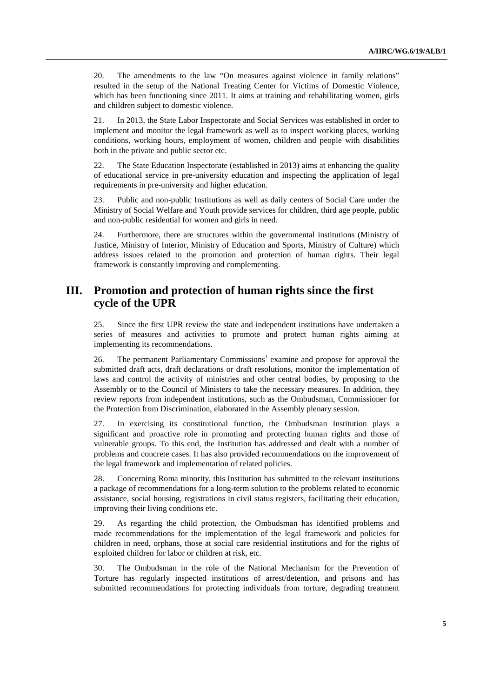20. The amendments to the law "On measures against violence in family relations" resulted in the setup of the National Treating Center for Victims of Domestic Violence, which has been functioning since 2011. It aims at training and rehabilitating women, girls and children subject to domestic violence.

21. In 2013, the State Labor Inspectorate and Social Services was established in order to implement and monitor the legal framework as well as to inspect working places, working conditions, working hours, employment of women, children and people with disabilities both in the private and public sector etc.

22. The State Education Inspectorate (established in 2013) aims at enhancing the quality of educational service in pre-university education and inspecting the application of legal requirements in pre-university and higher education.

23. Public and non-public Institutions as well as daily centers of Social Care under the Ministry of Social Welfare and Youth provide services for children, third age people, public and non-public residential for women and girls in need.

24. Furthermore, there are structures within the governmental institutions (Ministry of Justice, Ministry of Interior, Ministry of Education and Sports, Ministry of Culture) which address issues related to the promotion and protection of human rights. Their legal framework is constantly improving and complementing.

## **III. Promotion and protection of human rights since the first cycle of the UPR**

25. Since the first UPR review the state and independent institutions have undertaken a series of measures and activities to promote and protect human rights aiming at implementing its recommendations.

26. The permanent Parliamentary Commissions<sup>1</sup> examine and propose for approval the submitted draft acts, draft declarations or draft resolutions, monitor the implementation of laws and control the activity of ministries and other central bodies, by proposing to the Assembly or to the Council of Ministers to take the necessary measures. In addition, they review reports from independent institutions, such as the Ombudsman, Commissioner for the Protection from Discrimination, elaborated in the Assembly plenary session.

27. In exercising its constitutional function, the Ombudsman Institution plays a significant and proactive role in promoting and protecting human rights and those of vulnerable groups. To this end, the Institution has addressed and dealt with a number of problems and concrete cases. It has also provided recommendations on the improvement of the legal framework and implementation of related policies.

28. Concerning Roma minority, this Institution has submitted to the relevant institutions a package of recommendations for a long-term solution to the problems related to economic assistance, social housing, registrations in civil status registers, facilitating their education, improving their living conditions etc.

29. As regarding the child protection, the Ombudsman has identified problems and made recommendations for the implementation of the legal framework and policies for children in need, orphans, those at social care residential institutions and for the rights of exploited children for labor or children at risk, etc.

30. The Ombudsman in the role of the National Mechanism for the Prevention of Torture has regularly inspected institutions of arrest/detention, and prisons and has submitted recommendations for protecting individuals from torture, degrading treatment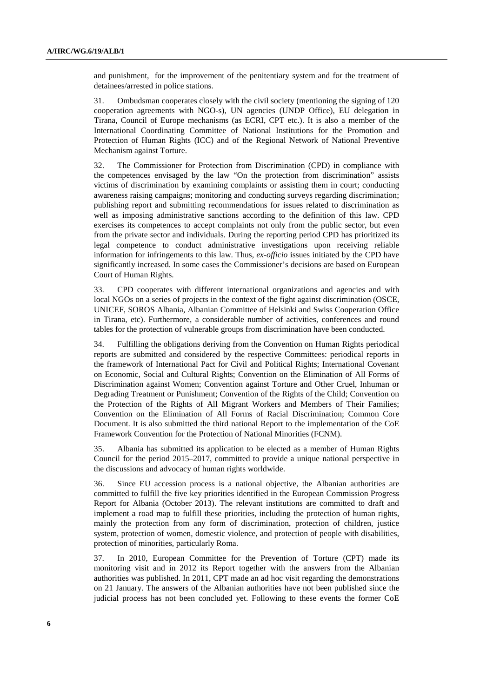and punishment, for the improvement of the penitentiary system and for the treatment of detainees/arrested in police stations.

31. Ombudsman cooperates closely with the civil society (mentioning the signing of 120 cooperation agreements with NGO-s), UN agencies (UNDP Office), EU delegation in Tirana, Council of Europe mechanisms (as ECRI, CPT etc.). It is also a member of the International Coordinating Committee of National Institutions for the Promotion and Protection of Human Rights (ICC) and of the Regional Network of National Preventive Mechanism against Torture.

32. The Commissioner for Protection from Discrimination (CPD) in compliance with the competences envisaged by the law "On the protection from discrimination" assists victims of discrimination by examining complaints or assisting them in court; conducting awareness raising campaigns; monitoring and conducting surveys regarding discrimination; publishing report and submitting recommendations for issues related to discrimination as well as imposing administrative sanctions according to the definition of this law. CPD exercises its competences to accept complaints not only from the public sector, but even from the private sector and individuals. During the reporting period CPD has prioritized its legal competence to conduct administrative investigations upon receiving reliable information for infringements to this law. Thus, *ex-officio* issues initiated by the CPD have significantly increased. In some cases the Commissioner's decisions are based on European Court of Human Rights.

33. CPD cooperates with different international organizations and agencies and with local NGOs on a series of projects in the context of the fight against discrimination (OSCE, UNICEF, SOROS Albania, Albanian Committee of Helsinki and Swiss Cooperation Office in Tirana, etc). Furthermore, a considerable number of activities, conferences and round tables for the protection of vulnerable groups from discrimination have been conducted.

34. Fulfilling the obligations deriving from the Convention on Human Rights periodical reports are submitted and considered by the respective Committees: periodical reports in the framework of International Pact for Civil and Political Rights; International Covenant on Economic, Social and Cultural Rights; Convention on the Elimination of All Forms of Discrimination against Women; Convention against Torture and Other Cruel, Inhuman or Degrading Treatment or Punishment; Convention of the Rights of the Child; Convention on the Protection of the Rights of All Migrant Workers and Members of Their Families; Convention on the Elimination of All Forms of Racial Discrimination; Common Core Document. It is also submitted the third national Report to the implementation of the CoE Framework Convention for the Protection of National Minorities (FCNM).

35. Albania has submitted its application to be elected as a member of Human Rights Council for the period 2015–2017, committed to provide a unique national perspective in the discussions and advocacy of human rights worldwide.

36. Since EU accession process is a national objective, the Albanian authorities are committed to fulfill the five key priorities identified in the European Commission Progress Report for Albania (October 2013). The relevant institutions are committed to draft and implement a road map to fulfill these priorities, including the protection of human rights, mainly the protection from any form of discrimination, protection of children, justice system, protection of women, domestic violence, and protection of people with disabilities, protection of minorities, particularly Roma.

37. In 2010, European Committee for the Prevention of Torture (CPT) made its monitoring visit and in 2012 its Report together with the answers from the Albanian authorities was published. In 2011, CPT made an ad hoc visit regarding the demonstrations on 21 January. The answers of the Albanian authorities have not been published since the judicial process has not been concluded yet. Following to these events the former CoE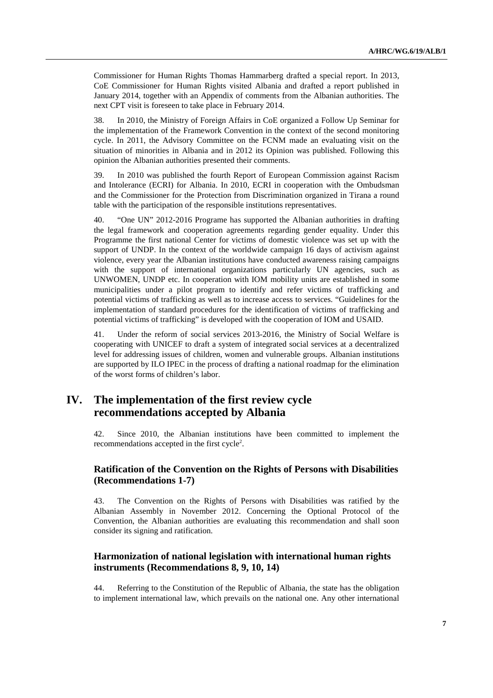Commissioner for Human Rights Thomas Hammarberg drafted a special report. In 2013, CoE Commissioner for Human Rights visited Albania and drafted a report published in January 2014, together with an Appendix of comments from the Albanian authorities. The next CPT visit is foreseen to take place in February 2014.

38. In 2010, the Ministry of Foreign Affairs in CoE organized a Follow Up Seminar for the implementation of the Framework Convention in the context of the second monitoring cycle. In 2011, the Advisory Committee on the FCNM made an evaluating visit on the situation of minorities in Albania and in 2012 its Opinion was published. Following this opinion the Albanian authorities presented their comments.

39. In 2010 was published the fourth Report of European Commission against Racism and Intolerance (ECRI) for Albania. In 2010, ECRI in cooperation with the Ombudsman and the Commissioner for the Protection from Discrimination organized in Tirana a round table with the participation of the responsible institutions representatives.

40. "One UN" 2012-2016 Programe has supported the Albanian authorities in drafting the legal framework and cooperation agreements regarding gender equality. Under this Programme the first national Center for victims of domestic violence was set up with the support of UNDP. In the context of the worldwide campaign 16 days of activism against violence, every year the Albanian institutions have conducted awareness raising campaigns with the support of international organizations particularly UN agencies, such as UNWOMEN, UNDP etc. In cooperation with IOM mobility units are established in some municipalities under a pilot program to identify and refer victims of trafficking and potential victims of trafficking as well as to increase access to services. "Guidelines for the implementation of standard procedures for the identification of victims of trafficking and potential victims of trafficking" is developed with the cooperation of IOM and USAID.

41. Under the reform of social services 2013-2016, the Ministry of Social Welfare is cooperating with UNICEF to draft a system of integrated social services at a decentralized level for addressing issues of children, women and vulnerable groups. Albanian institutions are supported by ILO IPEC in the process of drafting a national roadmap for the elimination of the worst forms of children's labor.

## **IV. The implementation of the first review cycle recommendations accepted by Albania**

42. Since 2010, the Albanian institutions have been committed to implement the recommendations accepted in the first cycle<sup>2</sup>.

## **Ratification of the Convention on the Rights of Persons with Disabilities (Recommendations 1-7)**

43. The Convention on the Rights of Persons with Disabilities was ratified by the Albanian Assembly in November 2012. Concerning the Optional Protocol of the Convention, the Albanian authorities are evaluating this recommendation and shall soon consider its signing and ratification.

## **Harmonization of national legislation with international human rights instruments (Recommendations 8, 9, 10, 14)**

44. Referring to the Constitution of the Republic of Albania, the state has the obligation to implement international law, which prevails on the national one. Any other international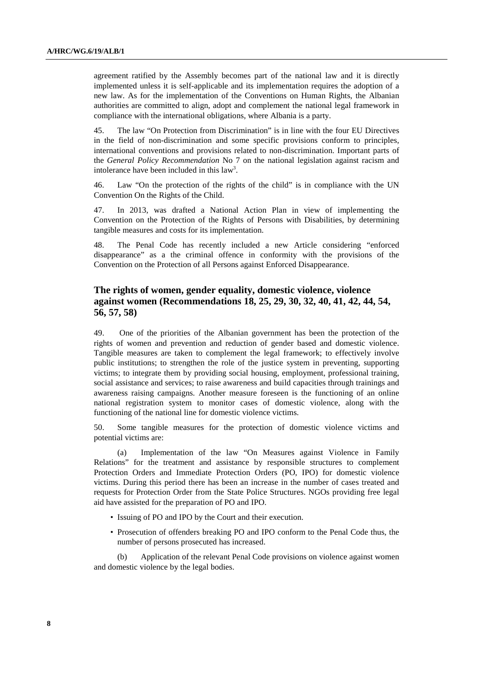agreement ratified by the Assembly becomes part of the national law and it is directly implemented unless it is self-applicable and its implementation requires the adoption of a new law. As for the implementation of the Conventions on Human Rights, the Albanian authorities are committed to align, adopt and complement the national legal framework in compliance with the international obligations, where Albania is a party.

45. The law "On Protection from Discrimination" is in line with the four EU Directives in the field of non-discrimination and some specific provisions conform to principles, international conventions and provisions related to non-discrimination. Important parts of the *General Policy Recommendation* No 7 on the national legislation against racism and intolerance have been included in this  $law<sup>3</sup>$ .

46. Law "On the protection of the rights of the child" is in compliance with the UN Convention On the Rights of the Child.

47. In 2013, was drafted a National Action Plan in view of implementing the Convention on the Protection of the Rights of Persons with Disabilities, by determining tangible measures and costs for its implementation.

48. The Penal Code has recently included a new Article considering "enforced disappearance" as a the criminal offence in conformity with the provisions of the Convention on the Protection of all Persons against Enforced Disappearance.

## **The rights of women, gender equality, domestic violence, violence against women (Recommendations 18, 25, 29, 30, 32, 40, 41, 42, 44, 54, 56, 57, 58)**

49. One of the priorities of the Albanian government has been the protection of the rights of women and prevention and reduction of gender based and domestic violence. Tangible measures are taken to complement the legal framework; to effectively involve public institutions; to strengthen the role of the justice system in preventing, supporting victims; to integrate them by providing social housing, employment, professional training, social assistance and services; to raise awareness and build capacities through trainings and awareness raising campaigns. Another measure foreseen is the functioning of an online national registration system to monitor cases of domestic violence, along with the functioning of the national line for domestic violence victims.

50. Some tangible measures for the protection of domestic violence victims and potential victims are:

(a) Implementation of the law "On Measures against Violence in Family Relations" for the treatment and assistance by responsible structures to complement Protection Orders and Immediate Protection Orders (PO, IPO) for domestic violence victims. During this period there has been an increase in the number of cases treated and requests for Protection Order from the State Police Structures. NGOs providing free legal aid have assisted for the preparation of PO and IPO.

- Issuing of PO and IPO by the Court and their execution.
- Prosecution of offenders breaking PO and IPO conform to the Penal Code thus, the number of persons prosecuted has increased.

(b) Application of the relevant Penal Code provisions on violence against women and domestic violence by the legal bodies.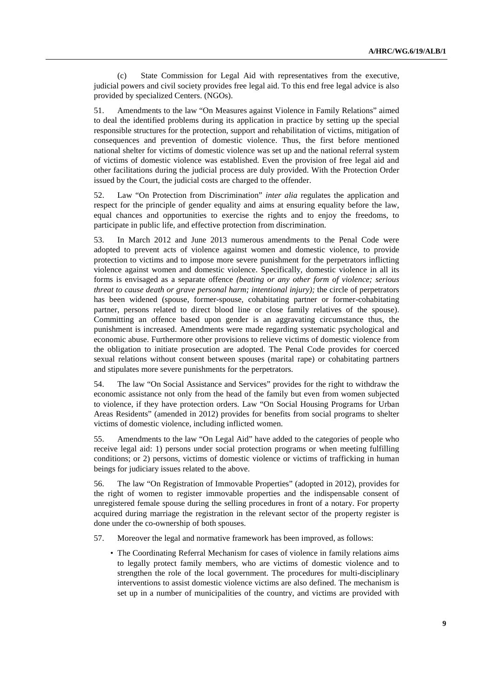(c) State Commission for Legal Aid with representatives from the executive, judicial powers and civil society provides free legal aid. To this end free legal advice is also provided by specialized Centers. (NGOs).

51. Amendments to the law "On Measures against Violence in Family Relations" aimed to deal the identified problems during its application in practice by setting up the special responsible structures for the protection, support and rehabilitation of victims, mitigation of consequences and prevention of domestic violence. Thus, the first before mentioned national shelter for victims of domestic violence was set up and the national referral system of victims of domestic violence was established. Even the provision of free legal aid and other facilitations during the judicial process are duly provided. With the Protection Order issued by the Court, the judicial costs are charged to the offender.

52. Law "On Protection from Discrimination" *inter alia* regulates the application and respect for the principle of gender equality and aims at ensuring equality before the law, equal chances and opportunities to exercise the rights and to enjoy the freedoms, to participate in public life, and effective protection from discrimination.

53. In March 2012 and June 2013 numerous amendments to the Penal Code were adopted to prevent acts of violence against women and domestic violence, to provide protection to victims and to impose more severe punishment for the perpetrators inflicting violence against women and domestic violence. Specifically, domestic violence in all its forms is envisaged as a separate offence *(beating or any other form of violence; serious threat to cause death or grave personal harm; intentional injury);* the circle of perpetrators has been widened (spouse, former-spouse, cohabitating partner or former-cohabitating partner, persons related to direct blood line or close family relatives of the spouse). Committing an offence based upon gender is an aggravating circumstance thus, the punishment is increased. Amendments were made regarding systematic psychological and economic abuse. Furthermore other provisions to relieve victims of domestic violence from the obligation to initiate prosecution are adopted. The Penal Code provides for coerced sexual relations without consent between spouses (marital rape) or cohabitating partners and stipulates more severe punishments for the perpetrators.

54. The law "On Social Assistance and Services" provides for the right to withdraw the economic assistance not only from the head of the family but even from women subjected to violence, if they have protection orders. Law "On Social Housing Programs for Urban Areas Residents" (amended in 2012) provides for benefits from social programs to shelter victims of domestic violence, including inflicted women.

55. Amendments to the law "On Legal Aid" have added to the categories of people who receive legal aid: 1) persons under social protection programs or when meeting fulfilling conditions; or 2) persons, victims of domestic violence or victims of trafficking in human beings for judiciary issues related to the above.

56. The law "On Registration of Immovable Properties" (adopted in 2012), provides for the right of women to register immovable properties and the indispensable consent of unregistered female spouse during the selling procedures in front of a notary. For property acquired during marriage the registration in the relevant sector of the property register is done under the co-ownership of both spouses.

- 57. Moreover the legal and normative framework has been improved, as follows:
	- The Coordinating Referral Mechanism for cases of violence in family relations aims to legally protect family members, who are victims of domestic violence and to strengthen the role of the local government. The procedures for multi-disciplinary interventions to assist domestic violence victims are also defined. The mechanism is set up in a number of municipalities of the country, and victims are provided with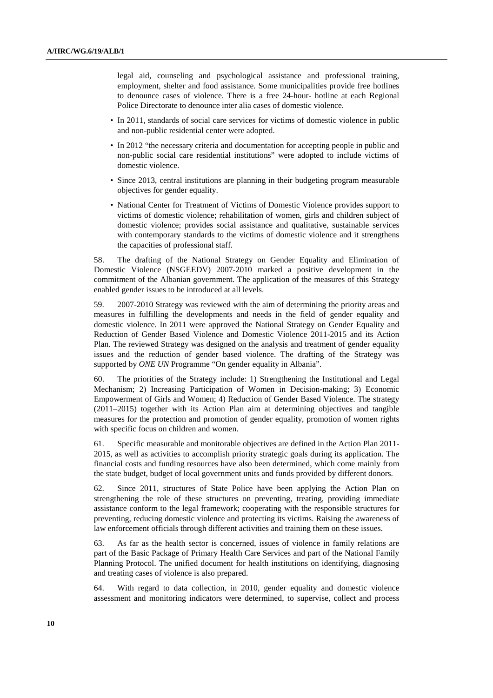legal aid, counseling and psychological assistance and professional training, employment, shelter and food assistance. Some municipalities provide free hotlines to denounce cases of violence. There is a free 24-hour- hotline at each Regional Police Directorate to denounce inter alia cases of domestic violence.

- In 2011, standards of social care services for victims of domestic violence in public and non-public residential center were adopted.
- In 2012 "the necessary criteria and documentation for accepting people in public and non-public social care residential institutions" were adopted to include victims of domestic violence.
- Since 2013, central institutions are planning in their budgeting program measurable objectives for gender equality.
- National Center for Treatment of Victims of Domestic Violence provides support to victims of domestic violence; rehabilitation of women, girls and children subject of domestic violence; provides social assistance and qualitative, sustainable services with contemporary standards to the victims of domestic violence and it strengthens the capacities of professional staff.

58. The drafting of the National Strategy on Gender Equality and Elimination of Domestic Violence (NSGEEDV) 2007-2010 marked a positive development in the commitment of the Albanian government. The application of the measures of this Strategy enabled gender issues to be introduced at all levels.

59. 2007-2010 Strategy was reviewed with the aim of determining the priority areas and measures in fulfilling the developments and needs in the field of gender equality and domestic violence. In 2011 were approved the National Strategy on Gender Equality and Reduction of Gender Based Violence and Domestic Violence 2011-2015 and its Action Plan. The reviewed Strategy was designed on the analysis and treatment of gender equality issues and the reduction of gender based violence. The drafting of the Strategy was supported by *ONE UN* Programme "On gender equality in Albania".

60. The priorities of the Strategy include: 1) Strengthening the Institutional and Legal Mechanism; 2) Increasing Participation of Women in Decision-making; 3) Economic Empowerment of Girls and Women; 4) Reduction of Gender Based Violence. The strategy (2011–2015) together with its Action Plan aim at determining objectives and tangible measures for the protection and promotion of gender equality, promotion of women rights with specific focus on children and women.

61. Specific measurable and monitorable objectives are defined in the Action Plan 2011- 2015, as well as activities to accomplish priority strategic goals during its application. The financial costs and funding resources have also been determined, which come mainly from the state budget, budget of local government units and funds provided by different donors.

62. Since 2011, structures of State Police have been applying the Action Plan on strengthening the role of these structures on preventing, treating, providing immediate assistance conform to the legal framework; cooperating with the responsible structures for preventing, reducing domestic violence and protecting its victims. Raising the awareness of law enforcement officials through different activities and training them on these issues.

63. As far as the health sector is concerned, issues of violence in family relations are part of the Basic Package of Primary Health Care Services and part of the National Family Planning Protocol. The unified document for health institutions on identifying, diagnosing and treating cases of violence is also prepared.

64. With regard to data collection, in 2010, gender equality and domestic violence assessment and monitoring indicators were determined, to supervise, collect and process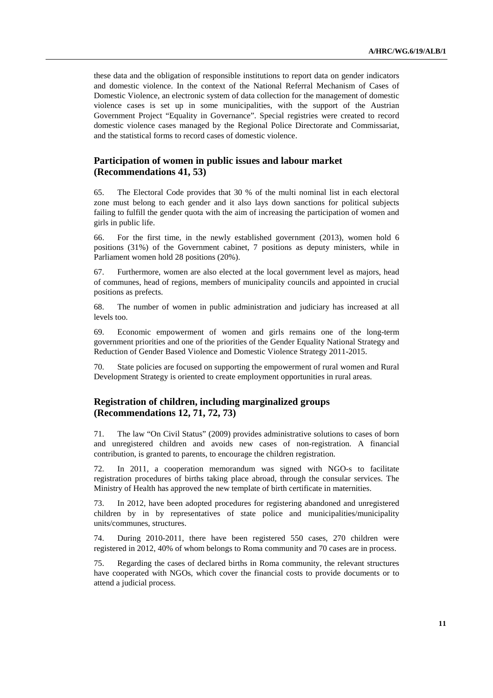these data and the obligation of responsible institutions to report data on gender indicators and domestic violence. In the context of the National Referral Mechanism of Cases of Domestic Violence, an electronic system of data collection for the management of domestic violence cases is set up in some municipalities, with the support of the Austrian Government Project "Equality in Governance". Special registries were created to record domestic violence cases managed by the Regional Police Directorate and Commissariat, and the statistical forms to record cases of domestic violence.

## **Participation of women in public issues and labour market (Recommendations 41, 53)**

65. The Electoral Code provides that 30 % of the multi nominal list in each electoral zone must belong to each gender and it also lays down sanctions for political subjects failing to fulfill the gender quota with the aim of increasing the participation of women and girls in public life.

66. For the first time, in the newly established government (2013), women hold 6 positions (31%) of the Government cabinet, 7 positions as deputy ministers, while in Parliament women hold 28 positions (20%).

67. Furthermore, women are also elected at the local government level as majors, head of communes, head of regions, members of municipality councils and appointed in crucial positions as prefects.

68. The number of women in public administration and judiciary has increased at all levels too.

69. Economic empowerment of women and girls remains one of the long-term government priorities and one of the priorities of the Gender Equality National Strategy and Reduction of Gender Based Violence and Domestic Violence Strategy 2011-2015.

70. State policies are focused on supporting the empowerment of rural women and Rural Development Strategy is oriented to create employment opportunities in rural areas.

### **Registration of children, including marginalized groups (Recommendations 12, 71, 72, 73)**

71. The law "On Civil Status" (2009) provides administrative solutions to cases of born and unregistered children and avoids new cases of non-registration. A financial contribution, is granted to parents, to encourage the children registration.

72. In 2011, a cooperation memorandum was signed with NGO-s to facilitate registration procedures of births taking place abroad, through the consular services. The Ministry of Health has approved the new template of birth certificate in maternities.

73. In 2012, have been adopted procedures for registering abandoned and unregistered children by in by representatives of state police and municipalities/municipality units/communes, structures.

74. During 2010-2011, there have been registered 550 cases, 270 children were registered in 2012, 40% of whom belongs to Roma community and 70 cases are in process.

75. Regarding the cases of declared births in Roma community, the relevant structures have cooperated with NGOs, which cover the financial costs to provide documents or to attend a judicial process.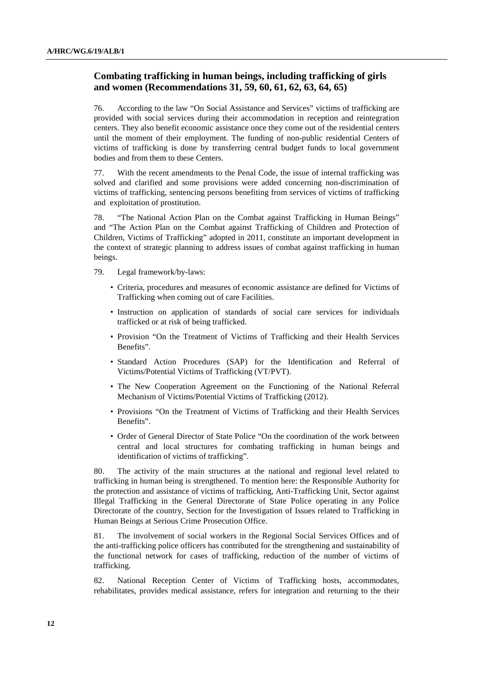## **Combating trafficking in human beings, including trafficking of girls and women (Recommendations 31, 59, 60, 61, 62, 63, 64, 65)**

76. According to the law "On Social Assistance and Services" victims of trafficking are provided with social services during their accommodation in reception and reintegration centers. They also benefit economic assistance once they come out of the residential centers until the moment of their employment. The funding of non-public residential Centers of victims of trafficking is done by transferring central budget funds to local government bodies and from them to these Centers.

77. With the recent amendments to the Penal Code, the issue of internal trafficking was solved and clarified and some provisions were added concerning non-discrimination of victims of trafficking, sentencing persons benefiting from services of victims of trafficking and exploitation of prostitution.

78. "The National Action Plan on the Combat against Trafficking in Human Beings" and "The Action Plan on the Combat against Trafficking of Children and Protection of Children, Victims of Trafficking" adopted in 2011, constitute an important development in the context of strategic planning to address issues of combat against trafficking in human beings.

- 79. Legal framework/by-laws:
	- Criteria, procedures and measures of economic assistance are defined for Victims of Trafficking when coming out of care Facilities.
	- Instruction on application of standards of social care services for individuals trafficked or at risk of being trafficked.
	- Provision "On the Treatment of Victims of Trafficking and their Health Services Benefits".
	- Standard Action Procedures (SAP) for the Identification and Referral of Victims/Potential Victims of Trafficking (VT/PVT).
	- The New Cooperation Agreement on the Functioning of the National Referral Mechanism of Victims/Potential Victims of Trafficking (2012).
	- Provisions "On the Treatment of Victims of Trafficking and their Health Services Benefits".
	- Order of General Director of State Police "On the coordination of the work between central and local structures for combating trafficking in human beings and identification of victims of trafficking".

80. The activity of the main structures at the national and regional level related to trafficking in human being is strengthened. To mention here: the Responsible Authority for the protection and assistance of victims of trafficking, Anti-Trafficking Unit, Sector against Illegal Trafficking in the General Directorate of State Police operating in any Police Directorate of the country, Section for the Investigation of Issues related to Trafficking in Human Beings at Serious Crime Prosecution Office.

81. The involvement of social workers in the Regional Social Services Offices and of the anti-trafficking police officers has contributed for the strengthening and sustainability of the functional network for cases of trafficking, reduction of the number of victims of trafficking.

82. National Reception Center of Victims of Trafficking hosts, accommodates, rehabilitates, provides medical assistance, refers for integration and returning to the their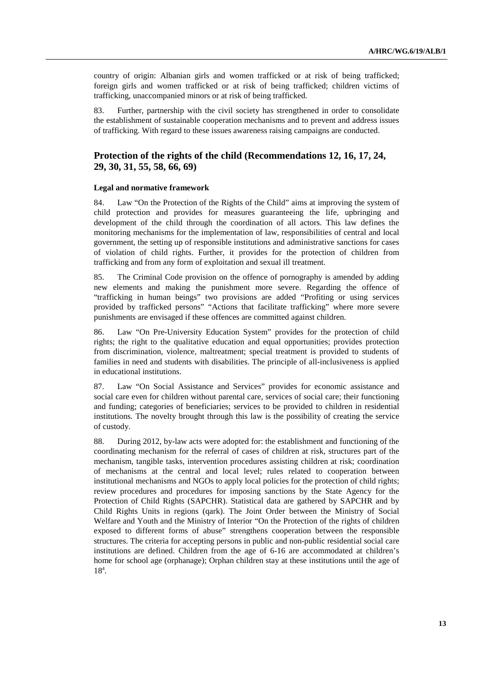country of origin: Albanian girls and women trafficked or at risk of being trafficked; foreign girls and women trafficked or at risk of being trafficked; children victims of trafficking, unaccompanied minors or at risk of being trafficked.

83. Further, partnership with the civil society has strengthened in order to consolidate the establishment of sustainable cooperation mechanisms and to prevent and address issues of trafficking. With regard to these issues awareness raising campaigns are conducted.

## **Protection of the rights of the child (Recommendations 12, 16, 17, 24, 29, 30, 31, 55, 58, 66, 69)**

#### **Legal and normative framework**

84. Law "On the Protection of the Rights of the Child" aims at improving the system of child protection and provides for measures guaranteeing the life, upbringing and development of the child through the coordination of all actors. This law defines the monitoring mechanisms for the implementation of law, responsibilities of central and local government, the setting up of responsible institutions and administrative sanctions for cases of violation of child rights. Further, it provides for the protection of children from trafficking and from any form of exploitation and sexual ill treatment.

85. The Criminal Code provision on the offence of pornography is amended by adding new elements and making the punishment more severe. Regarding the offence of "trafficking in human beings" two provisions are added "Profiting or using services provided by trafficked persons" "Actions that facilitate trafficking" where more severe punishments are envisaged if these offences are committed against children.

86. Law "On Pre-University Education System" provides for the protection of child rights; the right to the qualitative education and equal opportunities; provides protection from discrimination, violence, maltreatment; special treatment is provided to students of families in need and students with disabilities. The principle of all-inclusiveness is applied in educational institutions.

87. Law "On Social Assistance and Services" provides for economic assistance and social care even for children without parental care, services of social care; their functioning and funding; categories of beneficiaries; services to be provided to children in residential institutions. The novelty brought through this law is the possibility of creating the service of custody.

88. During 2012, by-law acts were adopted for: the establishment and functioning of the coordinating mechanism for the referral of cases of children at risk, structures part of the mechanism, tangible tasks, intervention procedures assisting children at risk; coordination of mechanisms at the central and local level; rules related to cooperation between institutional mechanisms and NGOs to apply local policies for the protection of child rights; review procedures and procedures for imposing sanctions by the State Agency for the Protection of Child Rights (SAPCHR). Statistical data are gathered by SAPCHR and by Child Rights Units in regions (qark). The Joint Order between the Ministry of Social Welfare and Youth and the Ministry of Interior "On the Protection of the rights of children exposed to different forms of abuse" strengthens cooperation between the responsible structures. The criteria for accepting persons in public and non-public residential social care institutions are defined. Children from the age of 6-16 are accommodated at children's home for school age (orphanage); Orphan children stay at these institutions until the age of  $18^{4}$ .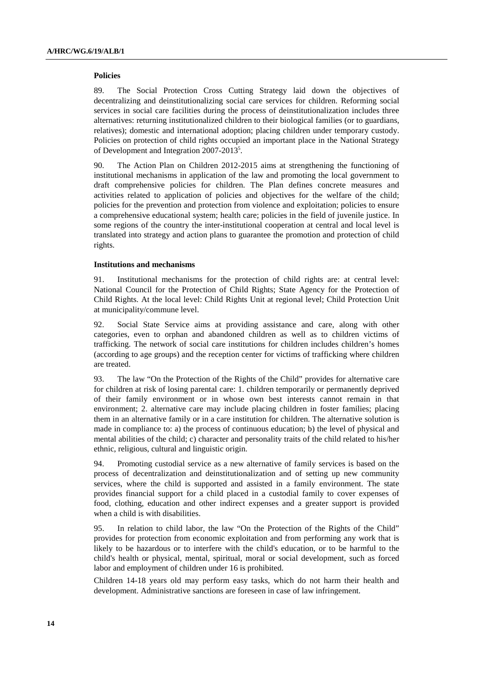#### **Policies**

89. The Social Protection Cross Cutting Strategy laid down the objectives of decentralizing and deinstitutionalizing social care services for children. Reforming social services in social care facilities during the process of deinstitutionalization includes three alternatives: returning institutionalized children to their biological families (or to guardians, relatives); domestic and international adoption; placing children under temporary custody. Policies on protection of child rights occupied an important place in the National Strategy of Development and Integration 2007-2013<sup>5</sup>.

90. The Action Plan on Children 2012-2015 aims at strengthening the functioning of institutional mechanisms in application of the law and promoting the local government to draft comprehensive policies for children. The Plan defines concrete measures and activities related to application of policies and objectives for the welfare of the child; policies for the prevention and protection from violence and exploitation; policies to ensure a comprehensive educational system; health care; policies in the field of juvenile justice. In some regions of the country the inter-institutional cooperation at central and local level is translated into strategy and action plans to guarantee the promotion and protection of child rights.

#### **Institutions and mechanisms**

91. Institutional mechanisms for the protection of child rights are: at central level: National Council for the Protection of Child Rights; State Agency for the Protection of Child Rights. At the local level: Child Rights Unit at regional level; Child Protection Unit at municipality/commune level.

92. Social State Service aims at providing assistance and care, along with other categories, even to orphan and abandoned children as well as to children victims of trafficking. The network of social care institutions for children includes children's homes (according to age groups) and the reception center for victims of trafficking where children are treated.

93. The law "On the Protection of the Rights of the Child" provides for alternative care for children at risk of losing parental care: 1. children temporarily or permanently deprived of their family environment or in whose own best interests cannot remain in that environment; 2. alternative care may include placing children in foster families; placing them in an alternative family or in a care institution for children. The alternative solution is made in compliance to: a) the process of continuous education; b) the level of physical and mental abilities of the child; c) character and personality traits of the child related to his/her ethnic, religious, cultural and linguistic origin.

94. Promoting custodial service as a new alternative of family services is based on the process of decentralization and deinstitutionalization and of setting up new community services, where the child is supported and assisted in a family environment. The state provides financial support for a child placed in a custodial family to cover expenses of food, clothing, education and other indirect expenses and a greater support is provided when a child is with disabilities.

95. In relation to child labor, the law "On the Protection of the Rights of the Child" provides for protection from economic exploitation and from performing any work that is likely to be hazardous or to interfere with the child's education, or to be harmful to the child's health or physical, mental, spiritual, moral or social development, such as forced labor and employment of children under 16 is prohibited.

Children 14-18 years old may perform easy tasks, which do not harm their health and development. Administrative sanctions are foreseen in case of law infringement.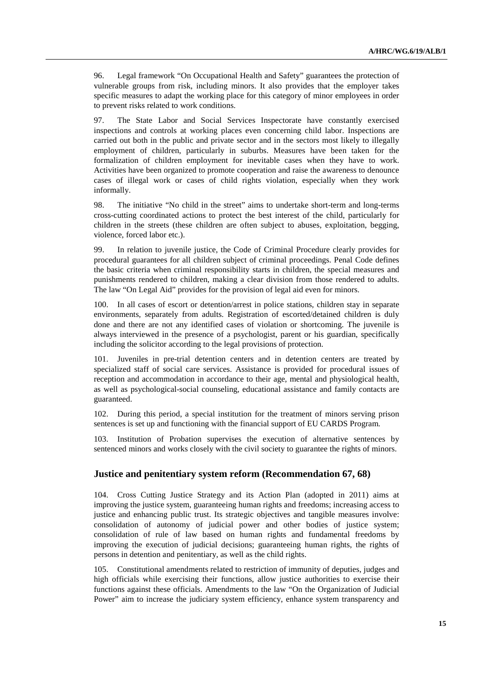96. Legal framework "On Occupational Health and Safety" guarantees the protection of vulnerable groups from risk, including minors. It also provides that the employer takes specific measures to adapt the working place for this category of minor employees in order to prevent risks related to work conditions.

97. The State Labor and Social Services Inspectorate have constantly exercised inspections and controls at working places even concerning child labor. Inspections are carried out both in the public and private sector and in the sectors most likely to illegally employment of children, particularly in suburbs. Measures have been taken for the formalization of children employment for inevitable cases when they have to work. Activities have been organized to promote cooperation and raise the awareness to denounce cases of illegal work or cases of child rights violation, especially when they work informally.

98. The initiative "No child in the street" aims to undertake short-term and long-terms cross-cutting coordinated actions to protect the best interest of the child, particularly for children in the streets (these children are often subject to abuses, exploitation, begging, violence, forced labor etc.).

99. In relation to juvenile justice, the Code of Criminal Procedure clearly provides for procedural guarantees for all children subject of criminal proceedings. Penal Code defines the basic criteria when criminal responsibility starts in children, the special measures and punishments rendered to children, making a clear division from those rendered to adults. The law "On Legal Aid" provides for the provision of legal aid even for minors.

100. In all cases of escort or detention/arrest in police stations, children stay in separate environments, separately from adults. Registration of escorted/detained children is duly done and there are not any identified cases of violation or shortcoming. The juvenile is always interviewed in the presence of a psychologist, parent or his guardian, specifically including the solicitor according to the legal provisions of protection.

101. Juveniles in pre-trial detention centers and in detention centers are treated by specialized staff of social care services. Assistance is provided for procedural issues of reception and accommodation in accordance to their age, mental and physiological health, as well as psychological-social counseling, educational assistance and family contacts are guaranteed.

102. During this period, a special institution for the treatment of minors serving prison sentences is set up and functioning with the financial support of EU CARDS Program.

103. Institution of Probation supervises the execution of alternative sentences by sentenced minors and works closely with the civil society to guarantee the rights of minors.

#### **Justice and penitentiary system reform (Recommendation 67, 68)**

104. Cross Cutting Justice Strategy and its Action Plan (adopted in 2011) aims at improving the justice system, guaranteeing human rights and freedoms; increasing access to justice and enhancing public trust. Its strategic objectives and tangible measures involve: consolidation of autonomy of judicial power and other bodies of justice system; consolidation of rule of law based on human rights and fundamental freedoms by improving the execution of judicial decisions; guaranteeing human rights, the rights of persons in detention and penitentiary, as well as the child rights.

105. Constitutional amendments related to restriction of immunity of deputies, judges and high officials while exercising their functions, allow justice authorities to exercise their functions against these officials. Amendments to the law "On the Organization of Judicial Power" aim to increase the judiciary system efficiency, enhance system transparency and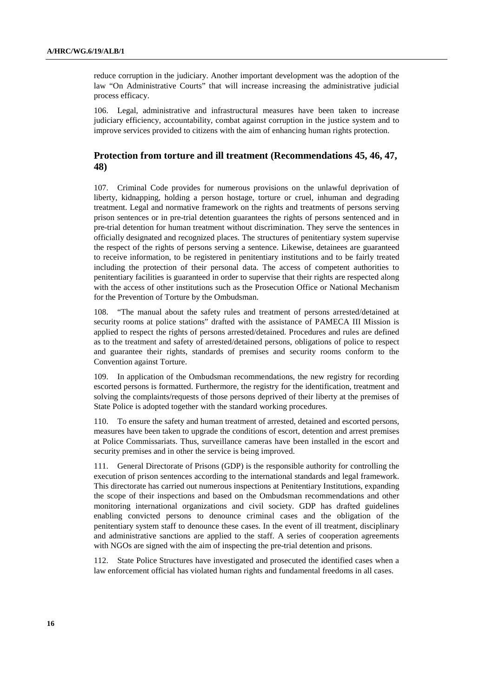reduce corruption in the judiciary. Another important development was the adoption of the law "On Administrative Courts" that will increase increasing the administrative judicial process efficacy.

106. Legal, administrative and infrastructural measures have been taken to increase judiciary efficiency, accountability, combat against corruption in the justice system and to improve services provided to citizens with the aim of enhancing human rights protection.

### **Protection from torture and ill treatment (Recommendations 45, 46, 47, 48)**

107. Criminal Code provides for numerous provisions on the unlawful deprivation of liberty, kidnapping, holding a person hostage, torture or cruel, inhuman and degrading treatment. Legal and normative framework on the rights and treatments of persons serving prison sentences or in pre-trial detention guarantees the rights of persons sentenced and in pre-trial detention for human treatment without discrimination. They serve the sentences in officially designated and recognized places. The structures of penitentiary system supervise the respect of the rights of persons serving a sentence. Likewise, detainees are guaranteed to receive information, to be registered in penitentiary institutions and to be fairly treated including the protection of their personal data. The access of competent authorities to penitentiary facilities is guaranteed in order to supervise that their rights are respected along with the access of other institutions such as the Prosecution Office or National Mechanism for the Prevention of Torture by the Ombudsman.

108. "The manual about the safety rules and treatment of persons arrested/detained at security rooms at police stations" drafted with the assistance of PAMECA III Mission is applied to respect the rights of persons arrested/detained. Procedures and rules are defined as to the treatment and safety of arrested/detained persons, obligations of police to respect and guarantee their rights, standards of premises and security rooms conform to the Convention against Torture.

109. In application of the Ombudsman recommendations, the new registry for recording escorted persons is formatted. Furthermore, the registry for the identification, treatment and solving the complaints/requests of those persons deprived of their liberty at the premises of State Police is adopted together with the standard working procedures.

110. To ensure the safety and human treatment of arrested, detained and escorted persons, measures have been taken to upgrade the conditions of escort, detention and arrest premises at Police Commissariats. Thus, surveillance cameras have been installed in the escort and security premises and in other the service is being improved.

111. General Directorate of Prisons (GDP) is the responsible authority for controlling the execution of prison sentences according to the international standards and legal framework. This directorate has carried out numerous inspections at Penitentiary Institutions, expanding the scope of their inspections and based on the Ombudsman recommendations and other monitoring international organizations and civil society. GDP has drafted guidelines enabling convicted persons to denounce criminal cases and the obligation of the penitentiary system staff to denounce these cases. In the event of ill treatment, disciplinary and administrative sanctions are applied to the staff. A series of cooperation agreements with NGOs are signed with the aim of inspecting the pre-trial detention and prisons.

112. State Police Structures have investigated and prosecuted the identified cases when a law enforcement official has violated human rights and fundamental freedoms in all cases.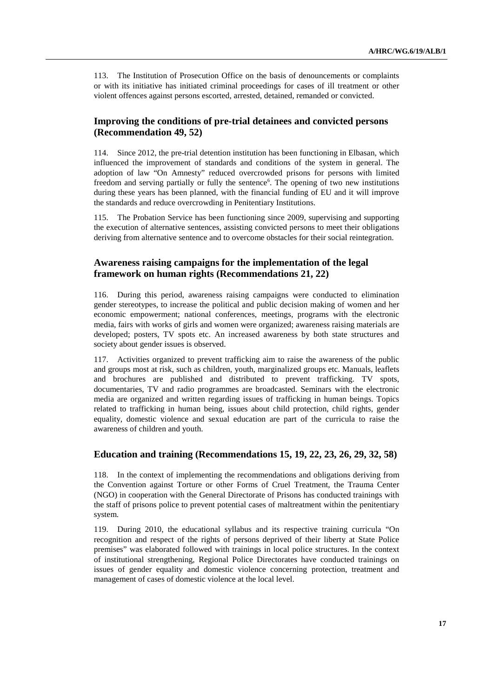113. The Institution of Prosecution Office on the basis of denouncements or complaints or with its initiative has initiated criminal proceedings for cases of ill treatment or other violent offences against persons escorted, arrested, detained, remanded or convicted.

## **Improving the conditions of pre-trial detainees and convicted persons (Recommendation 49, 52)**

114. Since 2012, the pre-trial detention institution has been functioning in Elbasan, which influenced the improvement of standards and conditions of the system in general. The adoption of law "On Amnesty" reduced overcrowded prisons for persons with limited freedom and serving partially or fully the sentence<sup>6</sup>. The opening of two new institutions during these years has been planned, with the financial funding of EU and it will improve the standards and reduce overcrowding in Penitentiary Institutions.

115. The Probation Service has been functioning since 2009, supervising and supporting the execution of alternative sentences, assisting convicted persons to meet their obligations deriving from alternative sentence and to overcome obstacles for their social reintegration.

### **Awareness raising campaigns for the implementation of the legal framework on human rights (Recommendations 21, 22)**

116. During this period, awareness raising campaigns were conducted to elimination gender stereotypes, to increase the political and public decision making of women and her economic empowerment; national conferences, meetings, programs with the electronic media, fairs with works of girls and women were organized; awareness raising materials are developed; posters, TV spots etc. An increased awareness by both state structures and society about gender issues is observed.

117. Activities organized to prevent trafficking aim to raise the awareness of the public and groups most at risk, such as children, youth, marginalized groups etc. Manuals, leaflets and brochures are published and distributed to prevent trafficking. TV spots, documentaries, TV and radio programmes are broadcasted. Seminars with the electronic media are organized and written regarding issues of trafficking in human beings. Topics related to trafficking in human being, issues about child protection, child rights, gender equality, domestic violence and sexual education are part of the curricula to raise the awareness of children and youth.

#### **Education and training (Recommendations 15, 19, 22, 23, 26, 29, 32, 58)**

118. In the context of implementing the recommendations and obligations deriving from the Convention against Torture or other Forms of Cruel Treatment, the Trauma Center (NGO) in cooperation with the General Directorate of Prisons has conducted trainings with the staff of prisons police to prevent potential cases of maltreatment within the penitentiary system.

119. During 2010, the educational syllabus and its respective training curricula "On recognition and respect of the rights of persons deprived of their liberty at State Police premises" was elaborated followed with trainings in local police structures. In the context of institutional strengthening, Regional Police Directorates have conducted trainings on issues of gender equality and domestic violence concerning protection, treatment and management of cases of domestic violence at the local level.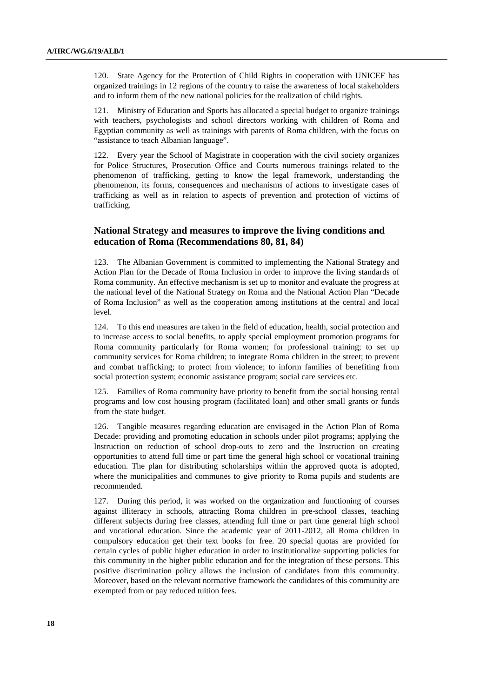120. State Agency for the Protection of Child Rights in cooperation with UNICEF has organized trainings in 12 regions of the country to raise the awareness of local stakeholders and to inform them of the new national policies for the realization of child rights.

121. Ministry of Education and Sports has allocated a special budget to organize trainings with teachers, psychologists and school directors working with children of Roma and Egyptian community as well as trainings with parents of Roma children, with the focus on "assistance to teach Albanian language".

122. Every year the School of Magistrate in cooperation with the civil society organizes for Police Structures, Prosecution Office and Courts numerous trainings related to the phenomenon of trafficking, getting to know the legal framework, understanding the phenomenon, its forms, consequences and mechanisms of actions to investigate cases of trafficking as well as in relation to aspects of prevention and protection of victims of trafficking.

## **National Strategy and measures to improve the living conditions and education of Roma (Recommendations 80, 81, 84)**

123. The Albanian Government is committed to implementing the National Strategy and Action Plan for the Decade of Roma Inclusion in order to improve the living standards of Roma community. An effective mechanism is set up to monitor and evaluate the progress at the national level of the National Strategy on Roma and the National Action Plan "Decade of Roma Inclusion" as well as the cooperation among institutions at the central and local level.

124. To this end measures are taken in the field of education, health, social protection and to increase access to social benefits, to apply special employment promotion programs for Roma community particularly for Roma women; for professional training; to set up community services for Roma children; to integrate Roma children in the street; to prevent and combat trafficking; to protect from violence; to inform families of benefiting from social protection system; economic assistance program; social care services etc.

125. Families of Roma community have priority to benefit from the social housing rental programs and low cost housing program (facilitated loan) and other small grants or funds from the state budget.

126. Tangible measures regarding education are envisaged in the Action Plan of Roma Decade: providing and promoting education in schools under pilot programs; applying the Instruction on reduction of school drop-outs to zero and the Instruction on creating opportunities to attend full time or part time the general high school or vocational training education. The plan for distributing scholarships within the approved quota is adopted, where the municipalities and communes to give priority to Roma pupils and students are recommended.

127. During this period, it was worked on the organization and functioning of courses against illiteracy in schools, attracting Roma children in pre-school classes, teaching different subjects during free classes, attending full time or part time general high school and vocational education. Since the academic year of 2011-2012, all Roma children in compulsory education get their text books for free. 20 special quotas are provided for certain cycles of public higher education in order to institutionalize supporting policies for this community in the higher public education and for the integration of these persons. This positive discrimination policy allows the inclusion of candidates from this community. Moreover, based on the relevant normative framework the candidates of this community are exempted from or pay reduced tuition fees.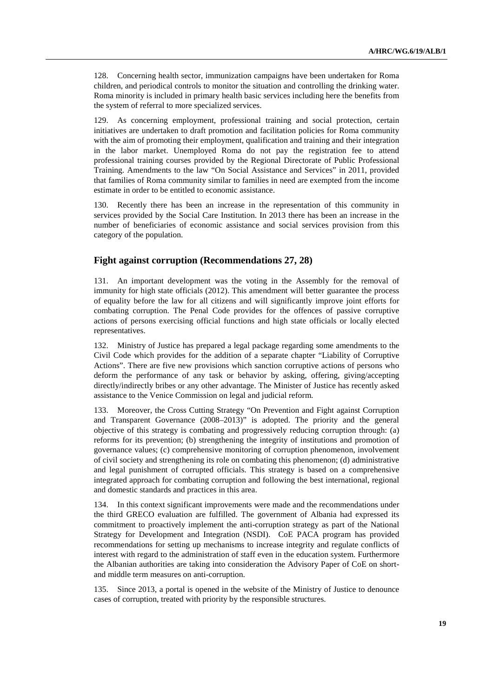128. Concerning health sector, immunization campaigns have been undertaken for Roma children, and periodical controls to monitor the situation and controlling the drinking water. Roma minority is included in primary health basic services including here the benefits from the system of referral to more specialized services.

129. As concerning employment, professional training and social protection, certain initiatives are undertaken to draft promotion and facilitation policies for Roma community with the aim of promoting their employment, qualification and training and their integration in the labor market. Unemployed Roma do not pay the registration fee to attend professional training courses provided by the Regional Directorate of Public Professional Training. Amendments to the law "On Social Assistance and Services" in 2011, provided that families of Roma community similar to families in need are exempted from the income estimate in order to be entitled to economic assistance.

130. Recently there has been an increase in the representation of this community in services provided by the Social Care Institution. In 2013 there has been an increase in the number of beneficiaries of economic assistance and social services provision from this category of the population.

### **Fight against corruption (Recommendations 27, 28)**

131. An important development was the voting in the Assembly for the removal of immunity for high state officials (2012). This amendment will better guarantee the process of equality before the law for all citizens and will significantly improve joint efforts for combating corruption. The Penal Code provides for the offences of passive corruptive actions of persons exercising official functions and high state officials or locally elected representatives.

132. Ministry of Justice has prepared a legal package regarding some amendments to the Civil Code which provides for the addition of a separate chapter "Liability of Corruptive Actions". There are five new provisions which sanction corruptive actions of persons who deform the performance of any task or behavior by asking, offering, giving/accepting directly/indirectly bribes or any other advantage. The Minister of Justice has recently asked assistance to the Venice Commission on legal and judicial reform.

133. Moreover, the Cross Cutting Strategy "On Prevention and Fight against Corruption and Transparent Governance (2008–2013)" is adopted. The priority and the general objective of this strategy is combating and progressively reducing corruption through: (a) reforms for its prevention; (b) strengthening the integrity of institutions and promotion of governance values; (c) comprehensive monitoring of corruption phenomenon, involvement of civil society and strengthening its role on combating this phenomenon; (d) administrative and legal punishment of corrupted officials. This strategy is based on a comprehensive integrated approach for combating corruption and following the best international, regional and domestic standards and practices in this area.

134. In this context significant improvements were made and the recommendations under the third GRECO evaluation are fulfilled. The government of Albania had expressed its commitment to proactively implement the anti-corruption strategy as part of the National Strategy for Development and Integration (NSDI). CoE PACA program has provided recommendations for setting up mechanisms to increase integrity and regulate conflicts of interest with regard to the administration of staff even in the education system. Furthermore the Albanian authorities are taking into consideration the Advisory Paper of CoE on shortand middle term measures on anti-corruption.

135. Since 2013, a portal is opened in the website of the Ministry of Justice to denounce cases of corruption, treated with priority by the responsible structures.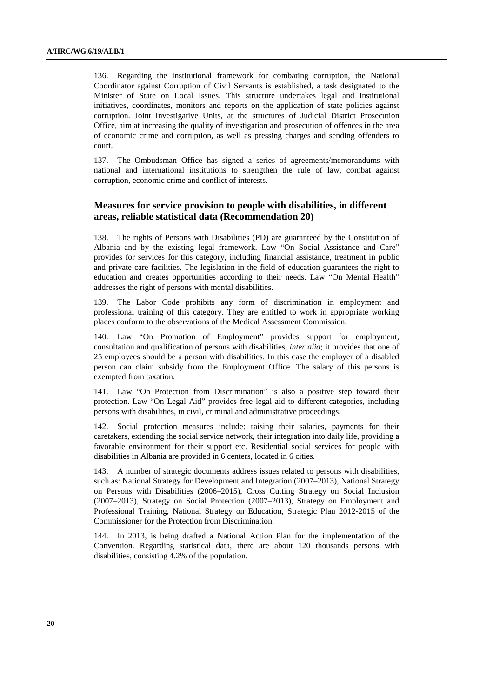136. Regarding the institutional framework for combating corruption, the National Coordinator against Corruption of Civil Servants is established, a task designated to the Minister of State on Local Issues. This structure undertakes legal and institutional initiatives, coordinates, monitors and reports on the application of state policies against corruption. Joint Investigative Units, at the structures of Judicial District Prosecution Office, aim at increasing the quality of investigation and prosecution of offences in the area of economic crime and corruption, as well as pressing charges and sending offenders to court.

137. The Ombudsman Office has signed a series of agreements/memorandums with national and international institutions to strengthen the rule of law, combat against corruption, economic crime and conflict of interests.

## **Measures for service provision to people with disabilities, in different areas, reliable statistical data (Recommendation 20)**

138. The rights of Persons with Disabilities (PD) are guaranteed by the Constitution of Albania and by the existing legal framework. Law "On Social Assistance and Care" provides for services for this category, including financial assistance, treatment in public and private care facilities. The legislation in the field of education guarantees the right to education and creates opportunities according to their needs. Law "On Mental Health" addresses the right of persons with mental disabilities.

139. The Labor Code prohibits any form of discrimination in employment and professional training of this category. They are entitled to work in appropriate working places conform to the observations of the Medical Assessment Commission.

140. Law "On Promotion of Employment" provides support for employment, consultation and qualification of persons with disabilities, *inter alia*; it provides that one of 25 employees should be a person with disabilities. In this case the employer of a disabled person can claim subsidy from the Employment Office. The salary of this persons is exempted from taxation.

141. Law "On Protection from Discrimination" is also a positive step toward their protection. Law "On Legal Aid" provides free legal aid to different categories, including persons with disabilities, in civil, criminal and administrative proceedings.

142. Social protection measures include: raising their salaries, payments for their caretakers, extending the social service network, their integration into daily life, providing a favorable environment for their support etc. Residential social services for people with disabilities in Albania are provided in 6 centers, located in 6 cities.

143. A number of strategic documents address issues related to persons with disabilities, such as: National Strategy for Development and Integration (2007–2013), National Strategy on Persons with Disabilities (2006–2015), Cross Cutting Strategy on Social Inclusion (2007–2013), Strategy on Social Protection (2007–2013), Strategy on Employment and Professional Training, National Strategy on Education, Strategic Plan 2012-2015 of the Commissioner for the Protection from Discrimination.

144. In 2013, is being drafted a National Action Plan for the implementation of the Convention. Regarding statistical data, there are about 120 thousands persons with disabilities, consisting 4.2% of the population.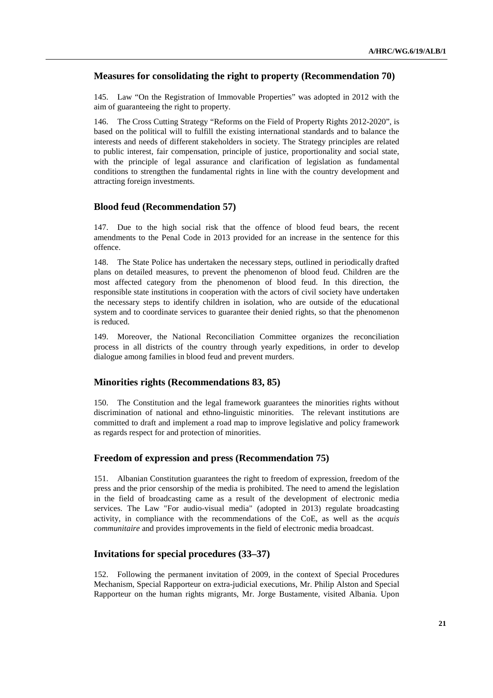## **Measures for consolidating the right to property (Recommendation 70)**

145. Law "On the Registration of Immovable Properties" was adopted in 2012 with the aim of guaranteeing the right to property.

146. The Cross Cutting Strategy "Reforms on the Field of Property Rights 2012-2020", is based on the political will to fulfill the existing international standards and to balance the interests and needs of different stakeholders in society. The Strategy principles are related to public interest, fair compensation, principle of justice, proportionality and social state, with the principle of legal assurance and clarification of legislation as fundamental conditions to strengthen the fundamental rights in line with the country development and attracting foreign investments.

#### **Blood feud (Recommendation 57)**

147. Due to the high social risk that the offence of blood feud bears, the recent amendments to the Penal Code in 2013 provided for an increase in the sentence for this offence.

148. The State Police has undertaken the necessary steps, outlined in periodically drafted plans on detailed measures, to prevent the phenomenon of blood feud. Children are the most affected category from the phenomenon of blood feud. In this direction, the responsible state institutions in cooperation with the actors of civil society have undertaken the necessary steps to identify children in isolation, who are outside of the educational system and to coordinate services to guarantee their denied rights, so that the phenomenon is reduced.

149. Moreover, the National Reconciliation Committee organizes the reconciliation process in all districts of the country through yearly expeditions, in order to develop dialogue among families in blood feud and prevent murders.

#### **Minorities rights (Recommendations 83, 85)**

150. The Constitution and the legal framework guarantees the minorities rights without discrimination of national and ethno-linguistic minorities. The relevant institutions are committed to draft and implement a road map to improve legislative and policy framework as regards respect for and protection of minorities.

#### **Freedom of expression and press (Recommendation 75)**

151. Albanian Constitution guarantees the right to freedom of expression, freedom of the press and the prior censorship of the media is prohibited. The need to amend the legislation in the field of broadcasting came as a result of the development of electronic media services. The Law "For audio-visual media" (adopted in 2013) regulate broadcasting activity, in compliance with the recommendations of the CoE, as well as the *acquis communitaire* and provides improvements in the field of electronic media broadcast.

#### **Invitations for special procedures (33–37)**

152. Following the permanent invitation of 2009, in the context of Special Procedures Mechanism, Special Rapporteur on extra-judicial executions, Mr. Philip Alston and Special Rapporteur on the human rights migrants, Mr. Jorge Bustamente, visited Albania. Upon